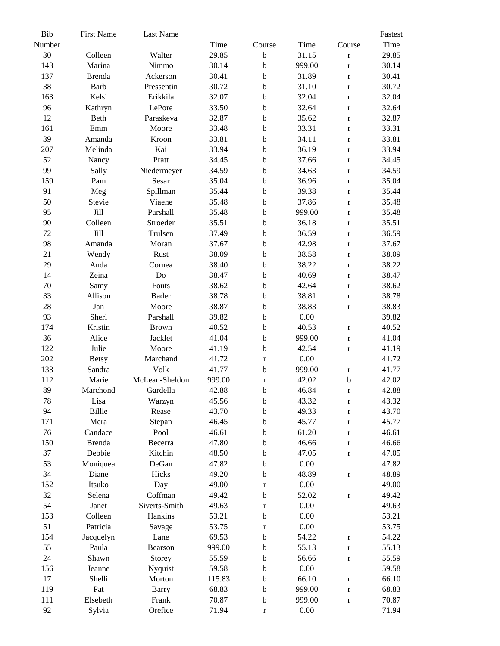| Bib    | <b>First Name</b> | Last Name      |        |             |        |              | Fastest |
|--------|-------------------|----------------|--------|-------------|--------|--------------|---------|
| Number |                   |                | Time   | Course      | Time   | Course       | Time    |
| 30     | Colleen           | Walter         | 29.85  | $\mathbf b$ | 31.15  | $\mathbf r$  | 29.85   |
| 143    | Marina            | Nimmo          | 30.14  | $\mathbf b$ | 999.00 | $\mathbf{r}$ | 30.14   |
| 137    | <b>Brenda</b>     | Ackerson       | 30.41  | $\bf b$     | 31.89  | $\mathbf r$  | 30.41   |
| 38     | <b>Barb</b>       | Pressentin     | 30.72  | $\mathbf b$ | 31.10  | $\mathbf r$  | 30.72   |
| 163    | Kelsi             | Erikkila       | 32.07  | $\mathbf b$ | 32.04  | $\mathbf r$  | 32.04   |
| 96     | Kathryn           | LePore         | 33.50  | $\bf b$     | 32.64  | $\mathbf r$  | 32.64   |
| 12     | Beth              | Paraskeva      | 32.87  | $\mathbf b$ | 35.62  | $\mathbf r$  | 32.87   |
| 161    | Emm               | Moore          | 33.48  | $\mathbf b$ | 33.31  | $\mathbf r$  | 33.31   |
| 39     | Amanda            | Kroon          | 33.81  | $\mathbf b$ | 34.11  | $\mathbf r$  | 33.81   |
| 207    | Melinda           | Kai            | 33.94  | $\mathbf b$ | 36.19  | $\mathbf r$  | 33.94   |
| 52     | Nancy             | Pratt          | 34.45  | $\bf b$     | 37.66  | $\mathbf r$  | 34.45   |
| 99     | Sally             | Niedermeyer    | 34.59  | $\mathbf b$ | 34.63  |              | 34.59   |
|        |                   | Sesar          |        | $\mathbf b$ |        | $\mathbf r$  | 35.04   |
| 159    | Pam               |                | 35.04  |             | 36.96  | $\mathbf r$  |         |
| 91     | Meg               | Spillman       | 35.44  | $\rm b$     | 39.38  | $\mathbf r$  | 35.44   |
| 50     | Stevie            | Viaene         | 35.48  | b           | 37.86  | $\mathbf r$  | 35.48   |
| 95     | Jill              | Parshall       | 35.48  | $\mathbf b$ | 999.00 | $\mathbf{r}$ | 35.48   |
| 90     | Colleen           | Stroeder       | 35.51  | $\mathbf b$ | 36.18  | $\mathbf r$  | 35.51   |
| 72     | Jill              | Trulsen        | 37.49  | $\bf b$     | 36.59  | $\mathbf r$  | 36.59   |
| 98     | Amanda            | Moran          | 37.67  | $\mathbf b$ | 42.98  | $\mathbf r$  | 37.67   |
| 21     | Wendy             | Rust           | 38.09  | $\mathbf b$ | 38.58  | $\mathbf r$  | 38.09   |
| 29     | Anda              | Cornea         | 38.40  | $\bf b$     | 38.22  | $\bf r$      | 38.22   |
| 14     | Zeina             | Do             | 38.47  | $\mathbf b$ | 40.69  | $\mathbf r$  | 38.47   |
| 70     | Samy              | Fouts          | 38.62  | $\mathbf b$ | 42.64  | $\mathbf{r}$ | 38.62   |
| 33     | Allison           | <b>Bader</b>   | 38.78  | $\mathbf b$ | 38.81  | $\mathbf r$  | 38.78   |
| 28     | Jan               | Moore          | 38.87  | $\mathbf b$ | 38.83  | $\mathbf r$  | 38.83   |
| 93     | Sheri             | Parshall       | 39.82  | $\mathbf b$ | 0.00   |              | 39.82   |
| 174    | Kristin           | <b>Brown</b>   | 40.52  | $\mathbf b$ | 40.53  | $\mathbf r$  | 40.52   |
| 36     | Alice             | Jacklet        | 41.04  | $\rm b$     | 999.00 | $\bf r$      | 41.04   |
| 122    | Julie             | Moore          | 41.19  | $\mathbf b$ | 42.54  | $\mathbf r$  | 41.19   |
| 202    | <b>Betsy</b>      | Marchand       | 41.72  | $\mathbf r$ | 0.00   |              | 41.72   |
| 133    | Sandra            | Volk           | 41.77  | $\mathbf b$ | 999.00 | $\mathbf r$  | 41.77   |
| 112    | Marie             | McLean-Sheldon | 999.00 | $\mathbf r$ | 42.02  | $\mathbf b$  | 42.02   |
| 89     | Marchond          | Gardella       | 42.88  | b           | 46.84  | $\bf r$      | 42.88   |
| 78     |                   |                | 45.56  | $\mathbf b$ |        |              | 43.32   |
| 94     | Lisa              | Warzyn         |        |             | 43.32  | $\mathbf r$  |         |
|        | <b>Billie</b>     | Rease          | 43.70  | b           | 49.33  | $\mathbf r$  | 43.70   |
| 171    | Mera              | Stepan         | 46.45  | $\mathbf b$ | 45.77  | $\mathbf r$  | 45.77   |
| 76     | Candace           | Pool           | 46.61  | b           | 61.20  | $\mathbf r$  | 46.61   |
| 150    | <b>Brenda</b>     | Becerra        | 47.80  | $\mathbf b$ | 46.66  | $\mathbf r$  | 46.66   |
| 37     | Debbie            | Kitchin        | 48.50  | $\mathbf b$ | 47.05  | $\mathbf r$  | 47.05   |
| 53     | Moniquea          | DeGan          | 47.82  | $\mathbf b$ | 0.00   |              | 47.82   |
| 34     | Diane             | Hicks          | 49.20  | $\mathbf b$ | 48.89  | $\mathbf r$  | 48.89   |
| 152    | Itsuko            | Day            | 49.00  | $\mathbf r$ | 0.00   |              | 49.00   |
| 32     | Selena            | Coffman        | 49.42  | $\mathbf b$ | 52.02  | $\mathbf r$  | 49.42   |
| 54     | Janet             | Siverts-Smith  | 49.63  | $\mathbf r$ | 0.00   |              | 49.63   |
| 153    | Colleen           | Hankins        | 53.21  | $\mathbf b$ | 0.00   |              | 53.21   |
| 51     | Patricia          | Savage         | 53.75  | $\mathbf r$ | 0.00   |              | 53.75   |
| 154    | Jacquelyn         | Lane           | 69.53  | $\mathbf b$ | 54.22  | $\mathbf r$  | 54.22   |
| 55     | Paula             | Bearson        | 999.00 | $\mathbf b$ | 55.13  | $\mathbf r$  | 55.13   |
| 24     | Shawn             | Storey         | 55.59  | b           | 56.66  | $\mathbf r$  | 55.59   |
| 156    | Jeanne            | Nyquist        | 59.58  | $\mathbf b$ | 0.00   |              | 59.58   |
| 17     | Shelli            | Morton         | 115.83 | $\mathbf b$ | 66.10  | $\mathbf r$  | 66.10   |
| 119    | Pat               | <b>Barry</b>   | 68.83  | $\mathbf b$ | 999.00 | $\mathbf r$  | 68.83   |
| 111    | Elsebeth          | Frank          | 70.87  | $\mathbf b$ | 999.00 | $\mathbf r$  | 70.87   |
| 92     | Sylvia            | Orefice        | 71.94  | $\mathbf r$ | 0.00   |              | 71.94   |
|        |                   |                |        |             |        |              |         |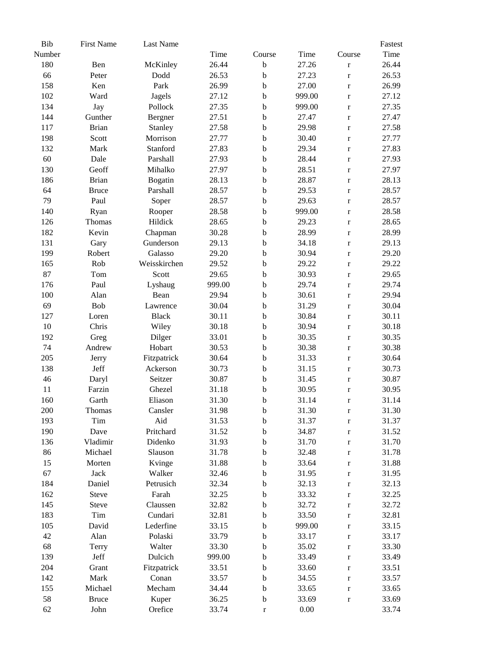| Bib    | <b>First Name</b> | Last Name    |        |             |        |              | Fastest |
|--------|-------------------|--------------|--------|-------------|--------|--------------|---------|
| Number |                   |              | Time   | Course      | Time   | Course       | Time    |
| 180    | Ben               | McKinley     | 26.44  | $\mathbf b$ | 27.26  | $\mathbf r$  | 26.44   |
| 66     | Peter             | Dodd         | 26.53  | $\mathbf b$ | 27.23  | $\mathbf r$  | 26.53   |
| 158    | Ken               | Park         | 26.99  | $\mathbf b$ | 27.00  | $\mathbf r$  | 26.99   |
| 102    | Ward              | Jagels       | 27.12  | $\mathbf b$ | 999.00 | $\mathbf r$  | 27.12   |
| 134    | Jay               | Pollock      | 27.35  | $\mathbf b$ | 999.00 | $\mathbf r$  | 27.35   |
| 144    | Gunther           | Bergner      | 27.51  | $\mathbf b$ | 27.47  | $\mathbf r$  | 27.47   |
| 117    | <b>Brian</b>      | Stanley      | 27.58  | $\mathbf b$ | 29.98  | $\mathbf r$  | 27.58   |
| 198    | Scott             | Morrison     | 27.77  | $\mathbf b$ | 30.40  | $\mathbf r$  | 27.77   |
| 132    | Mark              | Stanford     | 27.83  | $\mathbf b$ | 29.34  | $\mathbf r$  | 27.83   |
| 60     | Dale              | Parshall     | 27.93  | $\mathbf b$ | 28.44  | $\mathbf r$  | 27.93   |
| 130    | Geoff             | Mihalko      | 27.97  | $\mathbf b$ | 28.51  | $\bf r$      | 27.97   |
| 186    | <b>Brian</b>      | Bogatin      | 28.13  | $\mathbf b$ | 28.87  | $\mathbf r$  | 28.13   |
| 64     | <b>Bruce</b>      | Parshall     | 28.57  | $\mathbf b$ | 29.53  | $\mathbf r$  | 28.57   |
| 79     | Paul              | Soper        | 28.57  | $\mathbf b$ | 29.63  |              | 28.57   |
| 140    |                   |              | 28.58  | $\mathbf b$ | 999.00 | $\bf r$      | 28.58   |
|        | Ryan              | Rooper       |        |             |        | $\bf r$      |         |
| 126    | Thomas            | Hildick      | 28.65  | $\mathbf b$ | 29.23  | $\bf r$      | 28.65   |
| 182    | Kevin             | Chapman      | 30.28  | $\mathbf b$ | 28.99  | $\mathbf r$  | 28.99   |
| 131    | Gary              | Gunderson    | 29.13  | $\mathbf b$ | 34.18  | $\mathbf r$  | 29.13   |
| 199    | Robert            | Galasso      | 29.20  | $\mathbf b$ | 30.94  | $\mathbf r$  | 29.20   |
| 165    | Rob               | Weisskirchen | 29.52  | $\mathbf b$ | 29.22  | $\mathbf r$  | 29.22   |
| 87     | Tom               | Scott        | 29.65  | $\mathbf b$ | 30.93  | $\mathbf r$  | 29.65   |
| 176    | Paul              | Lyshaug      | 999.00 | $\mathbf b$ | 29.74  | $\mathbf r$  | 29.74   |
| 100    | Alan              | Bean         | 29.94  | $\mathbf b$ | 30.61  | $\mathbf r$  | 29.94   |
| 69     | Bob               | Lawrence     | 30.04  | $\mathbf b$ | 31.29  | $\mathbf{r}$ | 30.04   |
| 127    | Loren             | <b>Black</b> | 30.11  | $\mathbf b$ | 30.84  | $\bf r$      | 30.11   |
| $10\,$ | Chris             | Wiley        | 30.18  | $\mathbf b$ | 30.94  | $\mathbf r$  | 30.18   |
| 192    | Greg              | Dilger       | 33.01  | $\mathbf b$ | 30.35  | $\bf r$      | 30.35   |
| 74     | Andrew            | Hobart       | 30.53  | $\mathbf b$ | 30.38  | $\mathbf r$  | 30.38   |
| 205    | Jerry             | Fitzpatrick  | 30.64  | $\mathbf b$ | 31.33  | $\bf r$      | 30.64   |
| 138    | Jeff              | Ackerson     | 30.73  | $\mathbf b$ | 31.15  | $\bf r$      | 30.73   |
| 46     | Daryl             | Seitzer      | 30.87  | $\mathbf b$ | 31.45  | $\mathbf r$  | 30.87   |
| 11     | Farzin            | Ghezel       | 31.18  | $\mathbf b$ | 30.95  | $\mathbf r$  | 30.95   |
| 160    | Garth             | Eliason      | 31.30  | $\mathbf b$ | 31.14  | $\mathbf{r}$ | 31.14   |
| 200    | Thomas            | Cansler      | 31.98  | $\mathbf b$ | 31.30  | $\mathbf r$  | 31.30   |
| 193    | Tim               | Aid          | 31.53  | $\mathbf b$ | 31.37  | $\mathbf r$  | 31.37   |
| 190    | Dave              | Pritchard    | 31.52  | $\mathbf b$ | 34.87  | $\mathbf r$  | 31.52   |
| 136    | Vladimir          | Didenko      | 31.93  | b           | 31.70  | $\mathbf r$  | 31.70   |
| 86     | Michael           | Slauson      | 31.78  | b           | 32.48  | $\mathbf r$  | 31.78   |
| 15     | Morten            | Kvinge       | 31.88  | $\mathbf b$ | 33.64  | $\mathbf r$  | 31.88   |
| 67     | Jack              | Walker       | 32.46  | $\mathbf b$ | 31.95  | $\mathbf r$  | 31.95   |
| 184    | Daniel            | Petrusich    | 32.34  | $\mathbf b$ | 32.13  | $\mathbf r$  | 32.13   |
| 162    | Steve             | Farah        | 32.25  | $\mathbf b$ | 33.32  | $\mathbf r$  | 32.25   |
| 145    | <b>Steve</b>      | Claussen     | 32.82  | $\mathbf b$ | 32.72  | $\mathbf r$  | 32.72   |
| 183    | Tim               | Cundari      | 32.81  | $\mathbf b$ | 33.50  | $\mathbf r$  | 32.81   |
| 105    | David             | Lederfine    | 33.15  | b           | 999.00 | $\mathbf r$  | 33.15   |
| 42     | Alan              | Polaski      | 33.79  | $\mathbf b$ | 33.17  |              | 33.17   |
|        |                   |              |        |             |        | $\mathbf r$  |         |
| 68     | Terry             | Walter       | 33.30  | $\mathbf b$ | 35.02  | $\mathbf r$  | 33.30   |
| 139    | Jeff              | Dulcich      | 999.00 | b           | 33.49  | $\mathbf r$  | 33.49   |
| 204    | Grant             | Fitzpatrick  | 33.51  | $\mathbf b$ | 33.60  | $\mathbf r$  | 33.51   |
| 142    | Mark              | Conan        | 33.57  | $\mathbf b$ | 34.55  | $\mathbf r$  | 33.57   |
| 155    | Michael           | Mecham       | 34.44  | $\mathbf b$ | 33.65  | $\mathbf r$  | 33.65   |
| 58     | <b>Bruce</b>      | Kuper        | 36.25  | $\mathbf b$ | 33.69  | $\mathbf r$  | 33.69   |
| 62     | John              | Orefice      | 33.74  | $\mathbf r$ | 0.00   |              | 33.74   |